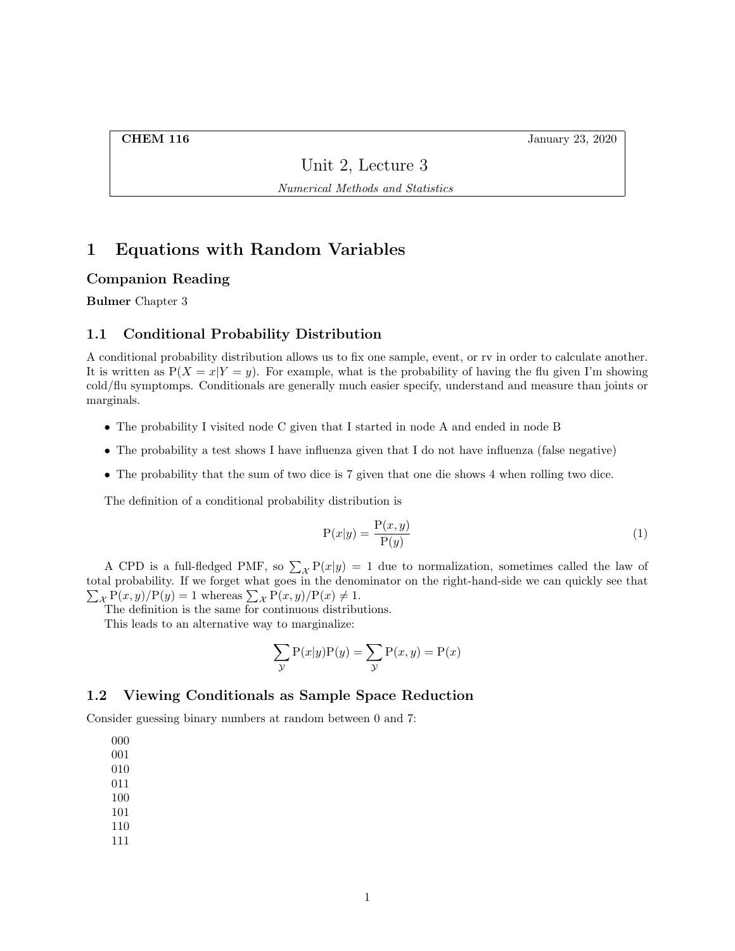**CHEM 116** January 23, 2020

Unit 2, Lecture 3

Numerical Methods and Statistics

# 1 Equations with Random Variables

### Companion Reading

Bulmer Chapter 3

## 1.1 Conditional Probability Distribution

A conditional probability distribution allows us to fix one sample, event, or rv in order to calculate another. It is written as  $P(X = x|Y = y)$ . For example, what is the probability of having the flu given I'm showing cold/flu symptomps. Conditionals are generally much easier specify, understand and measure than joints or marginals.

- The probability I visited node C given that I started in node A and ended in node B
- The probability a test shows I have influenza given that I do not have influenza (false negative)
- The probability that the sum of two dice is 7 given that one die shows 4 when rolling two dice.

The definition of a conditional probability distribution is

$$
P(x|y) = \frac{P(x,y)}{P(y)}\tag{1}
$$

A CPD is a full-fledged PMF, so  $\sum_{\mathcal{X}} P(x|y) = 1$  due to normalization, sometimes called the law of total probability. If we forget what goes in the denominator on the right-hand-side we can quickly see that  $\sum_{\mathcal{X}} P(x, y) / P(y) = 1$  whereas  $\sum_{\mathcal{X}} P(x, y) / P(x) \neq 1$ .

The definition is the same for continuous distributions.

This leads to an alternative way to marginalize:

$$
\sum_{y} P(x|y)P(y) = \sum_{y} P(x,y) = P(x)
$$

## 1.2 Viewing Conditionals as Sample Space Reduction

Consider guessing binary numbers at random between 0 and 7:

000

- 001
- 010
- 011 100
- 101
- 110
- 111
-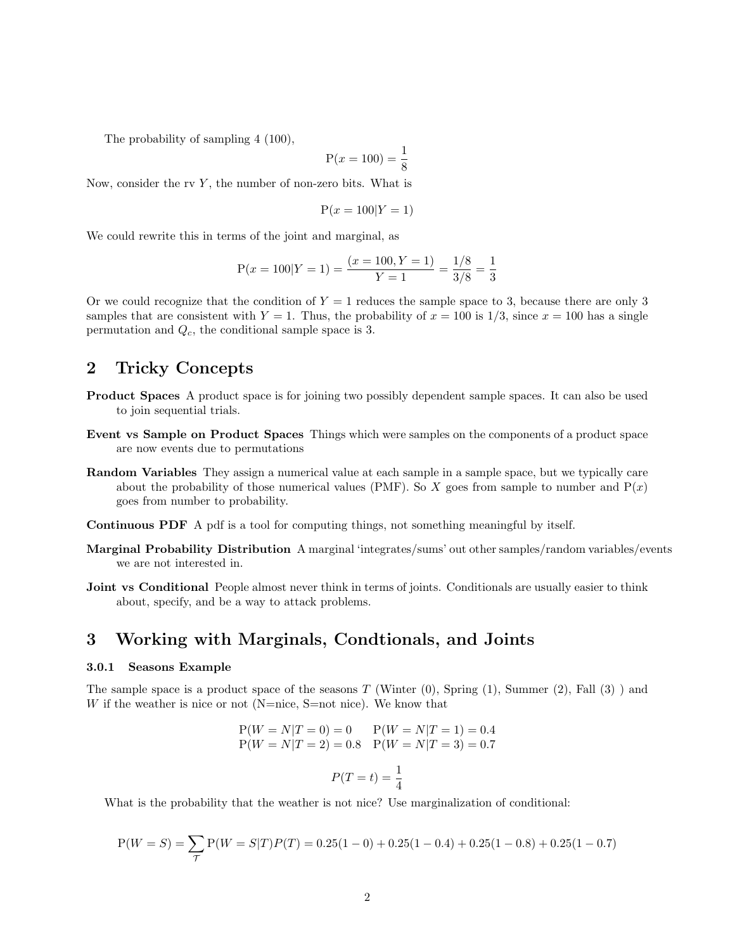The probability of sampling 4 (100),

$$
P(x = 100) = \frac{1}{8}
$$

Now, consider the rv  $Y$ , the number of non-zero bits. What is

$$
P(x = 100|Y = 1)
$$

We could rewrite this in terms of the joint and marginal, as

$$
P(x = 100|Y = 1) = \frac{(x = 100, Y = 1)}{Y = 1} = \frac{1/8}{3/8} = \frac{1}{3}
$$

Or we could recognize that the condition of  $Y = 1$  reduces the sample space to 3, because there are only 3 samples that are consistent with  $Y = 1$ . Thus, the probability of  $x = 100$  is  $1/3$ , since  $x = 100$  has a single permutation and  $Q_c$ , the conditional sample space is 3.

## 2 Tricky Concepts

- Product Spaces A product space is for joining two possibly dependent sample spaces. It can also be used to join sequential trials.
- Event vs Sample on Product Spaces Things which were samples on the components of a product space are now events due to permutations
- Random Variables They assign a numerical value at each sample in a sample space, but we typically care about the probability of those numerical values (PMF). So X goes from sample to number and  $P(x)$ goes from number to probability.
- Continuous PDF A pdf is a tool for computing things, not something meaningful by itself.
- Marginal Probability Distribution A marginal 'integrates/sums' out other samples/random variables/events we are not interested in.
- Joint vs Conditional People almost never think in terms of joints. Conditionals are usually easier to think about, specify, and be a way to attack problems.

## 3 Working with Marginals, Condtionals, and Joints

#### 3.0.1 Seasons Example

The sample space is a product space of the seasons  $T$  (Winter  $(0)$ , Spring  $(1)$ , Summer  $(2)$ , Fall  $(3)$ ) and W if the weather is nice or not (N=nice, S=not nice). We know that

$$
P(W = N|T = 0) = 0 \t P(W = N|T = 1) = 0.4
$$
  
 
$$
P(W = N|T = 2) = 0.8 \t P(W = N|T = 3) = 0.7
$$
  
 
$$
P(T = t) = \frac{1}{4}
$$

What is the probability that the weather is not nice? Use marginalization of conditional:

$$
P(W = S) = \sum_{T} P(W = S|T)P(T) = 0.25(1 - 0) + 0.25(1 - 0.4) + 0.25(1 - 0.8) + 0.25(1 - 0.7)
$$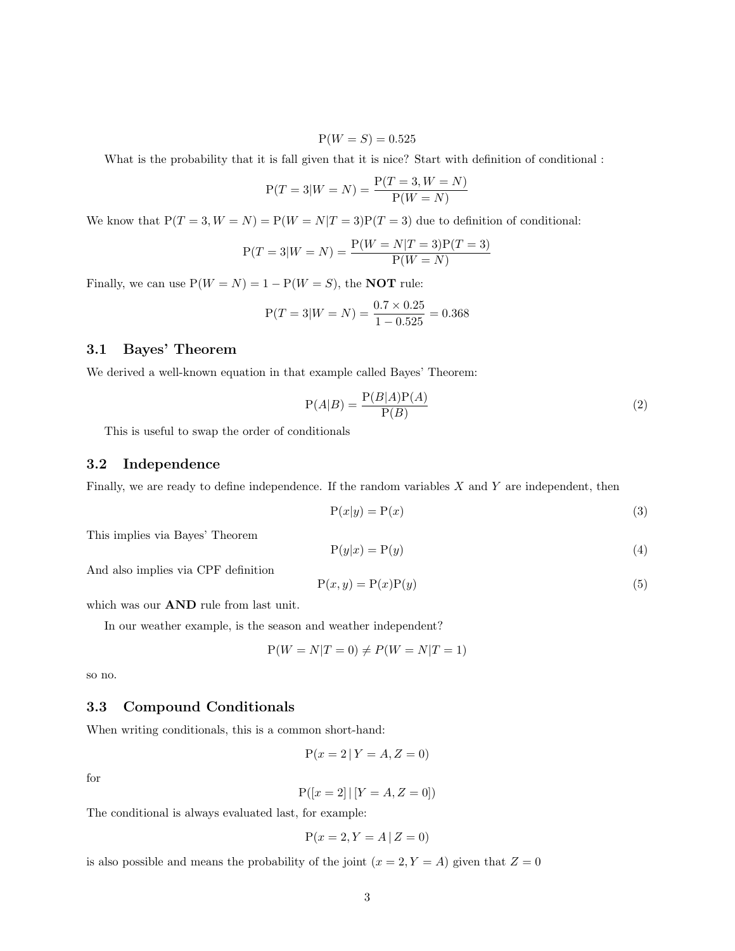$$
P(W = S) = 0.525
$$

What is the probability that it is fall given that it is nice? Start with definition of conditional :

$$
P(T = 3|W = N) = \frac{P(T = 3, W = N)}{P(W = N)}
$$

We know that  $P(T = 3, W = N) = P(W = N|T = 3)P(T = 3)$  due to definition of conditional:

$$
P(T = 3|W = N) = \frac{P(W = N|T = 3)P(T = 3)}{P(W = N)}
$$

Finally, we can use  $P(W = N) = 1 - P(W = S)$ , the **NOT** rule:

$$
P(T = 3|W = N) = \frac{0.7 \times 0.25}{1 - 0.525} = 0.368
$$

## 3.1 Bayes' Theorem

We derived a well-known equation in that example called Bayes' Theorem:

$$
P(A|B) = \frac{P(B|A)P(A)}{P(B)}
$$
\n<sup>(2)</sup>

This is useful to swap the order of conditionals

## 3.2 Independence

Finally, we are ready to define independence. If the random variables  $X$  and  $Y$  are independent, then

$$
P(x|y) = P(x) \tag{3}
$$

This implies via Bayes' Theorem

$$
P(y|x) = P(y)
$$
 (4)

And also implies via CPF definition

$$
P(x, y) = P(x)P(y)
$$
\n(5)

which was our AND rule from last unit.

In our weather example, is the season and weather independent?

$$
P(W = N|T = 0) \neq P(W = N|T = 1)
$$

so no.

### 3.3 Compound Conditionals

When writing conditionals, this is a common short-hand:

$$
P(x = 2 | Y = A, Z = 0)
$$

for

$$
P([x = 2] | [Y = A, Z = 0])
$$

The conditional is always evaluated last, for example:

$$
P(x = 2, Y = A | Z = 0)
$$

is also possible and means the probability of the joint  $(x = 2, Y = A)$  given that  $Z = 0$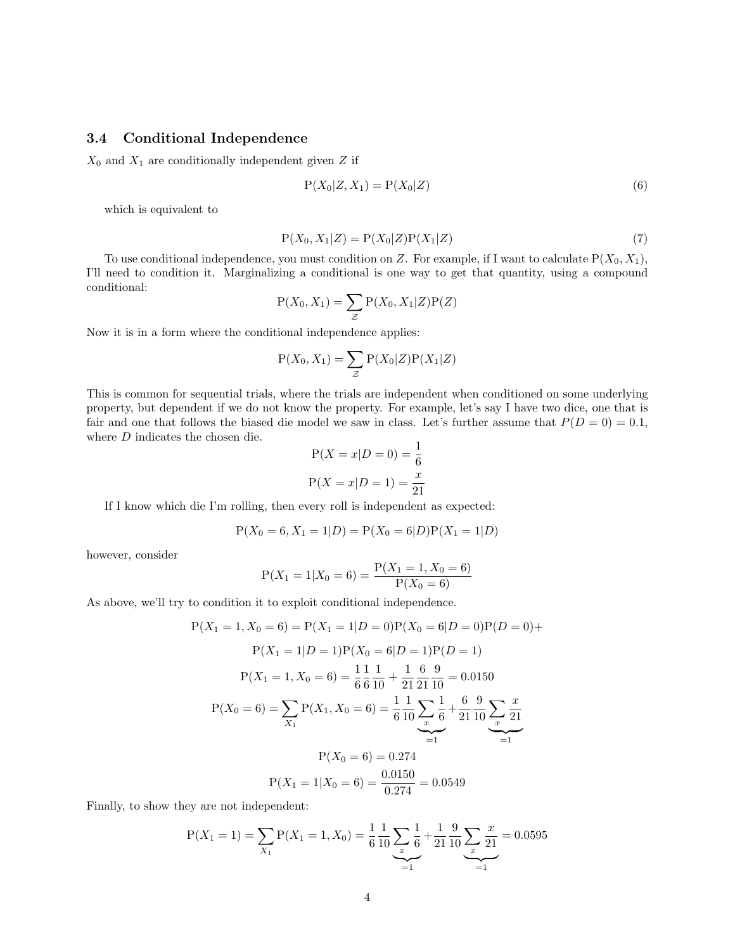## 3.4 Conditional Independence

 $X_0$  and  $X_1$  are conditionally independent given Z if

$$
P(X_0|Z, X_1) = P(X_0|Z)
$$
\n
$$
(6)
$$

which is equivalent to

$$
P(X_0, X_1|Z) = P(X_0|Z)P(X_1|Z)
$$
\n(7)

To use conditional independence, you must condition on Z. For example, if I want to calculate  $P(X_0, X_1)$ , I'll need to condition it. Marginalizing a conditional is one way to get that quantity, using a compound conditional:

$$
P(X_0, X_1) = \sum_{\mathcal{Z}} P(X_0, X_1 | \mathcal{Z}) P(\mathcal{Z})
$$

Now it is in a form where the conditional independence applies:

$$
P(X_0, X_1) = \sum_{\mathcal{Z}} P(X_0 | \mathcal{Z}) P(X_1 | \mathcal{Z})
$$

This is common for sequential trials, where the trials are independent when conditioned on some underlying property, but dependent if we do not know the property. For example, let's say I have two dice, one that is fair and one that follows the biased die model we saw in class. Let's further assume that  $P(D = 0) = 0.1$ , where  $D$  indicates the chosen die.

$$
P(X = x | D = 0) = \frac{1}{6}
$$
  

$$
P(X = x | D = 1) = \frac{x}{21}
$$

If I know which die I'm rolling, then every roll is independent as expected:

$$
P(X_0 = 6, X_1 = 1|D) = P(X_0 = 6|D)P(X_1 = 1|D)
$$

however, consider

$$
P(X_1 = 1 | X_0 = 6) = \frac{P(X_1 = 1, X_0 = 6)}{P(X_0 = 6)}
$$

As above, we'll try to condition it to exploit conditional independence.

$$
P(X_1 = 1, X_0 = 6) = P(X_1 = 1|D = 0)P(X_0 = 6|D = 0)P(D = 0) + P(X_1 = 1|D = 1)P(X_0 = 6|D = 1)P(D = 1)
$$

$$
P(X_1 = 1, X_0 = 6) = \frac{1}{6} \frac{1}{6} \frac{1}{10} + \frac{1}{21} \frac{6}{21} \frac{9}{10} = 0.0150
$$

$$
P(X_0 = 6) = \sum_{X_1} P(X_1, X_0 = 6) = \frac{1}{6} \frac{1}{10} \sum_{\substack{x \\ x \neq 0}} \frac{1}{6} + \frac{6}{21} \frac{9}{10} \sum_{\substack{x \\ y \neq 1}} \frac{x}{21}
$$

$$
P(X_0 = 6) = 0.274
$$

$$
P(X_1 = 1|X_0 = 6) = \frac{0.0150}{0.274} = 0.0549
$$

Finally, to show they are not independent:

$$
P(X_1 = 1) = \sum_{X_1} P(X_1 = 1, X_0) = \frac{1}{6} \frac{1}{10} \sum_{x} \frac{1}{6} + \frac{1}{21} \frac{9}{10} \sum_{x} \frac{x}{21} = 0.0595
$$
  
=1